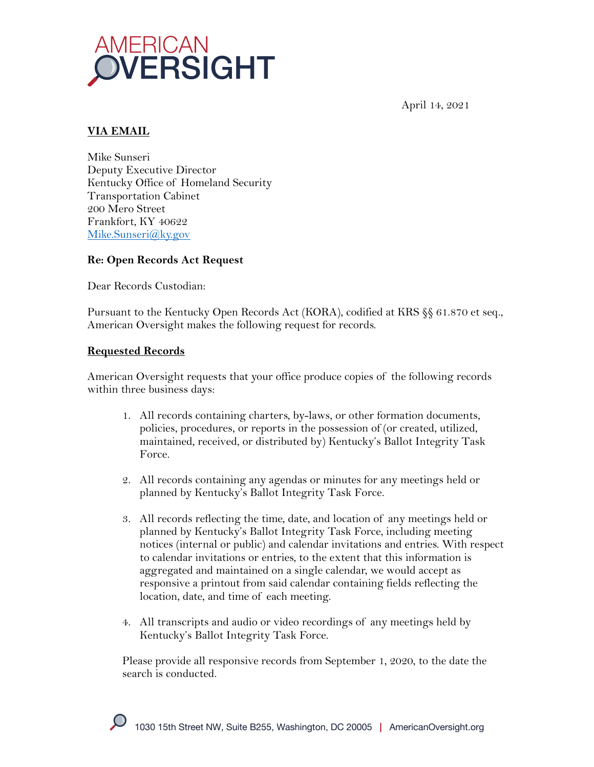

April 14, 2021

## **VIA EMAIL**

Mike Sunseri Deputy Executive Director Kentucky Office of Homeland Security Transportation Cabinet 200 Mero Street Frankfort, KY 40622 Mike.Sunseri@ky.gov

### **Re: Open Records Act Request**

Dear Records Custodian:

Pursuant to the Kentucky Open Records Act (KORA), codified at KRS §§ 61.870 et seq., American Oversight makes the following request for records.

### **Requested Records**

American Oversight requests that your office produce copies of the following records within three business days:

- 1. All records containing charters, by-laws, or other formation documents, policies, procedures, or reports in the possession of (or created, utilized, maintained, received, or distributed by) Kentucky's Ballot Integrity Task Force.
- 2. All records containing any agendas or minutes for any meetings held or planned by Kentucky's Ballot Integrity Task Force.
- 3. All records reflecting the time, date, and location of any meetings held or planned by Kentucky's Ballot Integrity Task Force, including meeting notices (internal or public) and calendar invitations and entries. With respect to calendar invitations or entries, to the extent that this information is aggregated and maintained on a single calendar, we would accept as responsive a printout from said calendar containing fields reflecting the location, date, and time of each meeting.
- 4. All transcripts and audio or video recordings of any meetings held by Kentucky's Ballot Integrity Task Force.

Please provide all responsive records from September 1, 2020, to the date the search is conducted.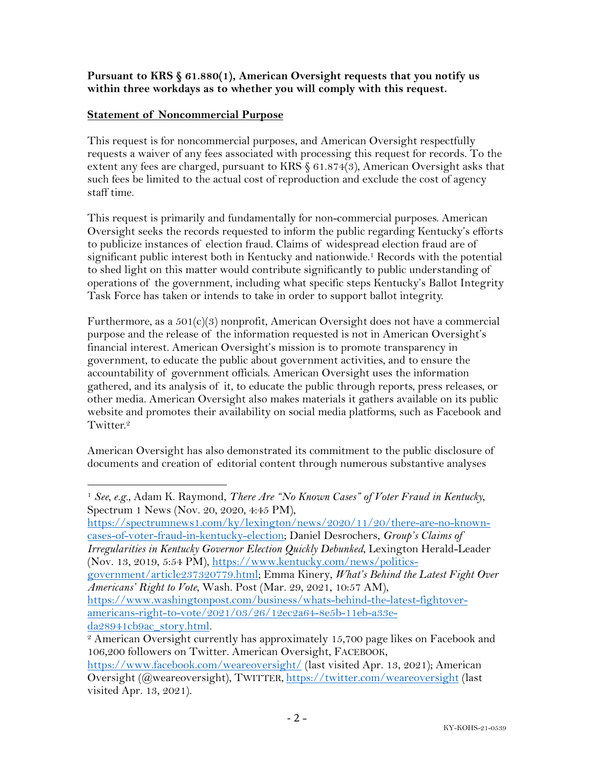## **Pursuant to KRS § 61.880(1), American Oversight requests that you notify us within three workdays as to whether you will comply with this request.**

## **Statement of Noncommercial Purpose**

This request is for noncommercial purposes, and American Oversight respectfully requests a waiver of any fees associated with processing this request for records. To the extent any fees are charged, pursuant to KRS § 61.874(3), American Oversight asks that such fees be limited to the actual cost of reproduction and exclude the cost of agency staff time.

This request is primarily and fundamentally for non-commercial purposes. American Oversight seeks the records requested to inform the public regarding Kentucky's efforts to publicize instances of election fraud. Claims of widespread election fraud are of significant public interest both in Kentucky and nationwide.1 Records with the potential to shed light on this matter would contribute significantly to public understanding of operations of the government, including what specific steps Kentucky's Ballot Integrity Task Force has taken or intends to take in order to support ballot integrity.

Furthermore, as a  $501(c)(3)$  nonprofit, American Oversight does not have a commercial purpose and the release of the information requested is not in American Oversight's financial interest. American Oversight's mission is to promote transparency in government, to educate the public about government activities, and to ensure the accountability of government officials. American Oversight uses the information gathered, and its analysis of it, to educate the public through reports, press releases, or other media. American Oversight also makes materials it gathers available on its public website and promotes their availability on social media platforms, such as Facebook and Twitter.<sup>2</sup>

American Oversight has also demonstrated its commitment to the public disclosure of documents and creation of editorial content through numerous substantive analyses

https://spectrumnews1.com/ky/lexington/news/2020/11/20/there-are-no-knowncases-of-voter-fraud-in-kentucky-election; Daniel Desrochers, *Group's Claims of Irregularities in Kentucky Governor Election Quickly Debunked*, Lexington Herald-Leader (Nov. 13, 2019, 5:54 PM), https://www.kentucky.com/news/politics-

government/article237320779.html; Emma Kinery, *What's Behind the Latest Fight Over Americans' Right to Vote*, Wash. Post (Mar. 29, 2021, 10:57 AM), https://www.washingtonpost.com/business/whats-behind-the-latest-fightover-

americans-right-to-vote/2021/03/26/12ec2a64-8e5b-11eb-a33eda28941cb9ac\_story.html.

<sup>1</sup> *See, e.g.*, Adam K. Raymond, *There Are "No Known Cases" of Voter Fraud in Kentucky*, Spectrum 1 News (Nov. 20, 2020, 4:45 PM),

<sup>&</sup>lt;sup>2</sup> American Oversight currently has approximately 15,700 page likes on Facebook and 106,200 followers on Twitter. American Oversight, FACEBOOK,

https://www.facebook.com/weareoversight/ (last visited Apr. 13, 2021); American Oversight (@weareoversight), TWITTER, https://twitter.com/weareoversight (last visited Apr. 13, 2021).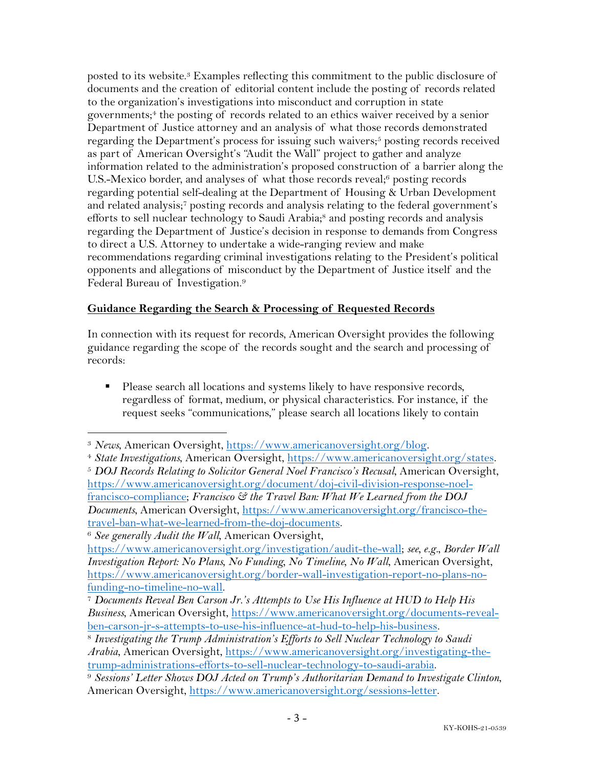posted to its website.3 Examples reflecting this commitment to the public disclosure of documents and the creation of editorial content include the posting of records related to the organization's investigations into misconduct and corruption in state governments; <sup>4</sup> the posting of records related to an ethics waiver received by a senior Department of Justice attorney and an analysis of what those records demonstrated regarding the Department's process for issuing such waivers;<sup>5</sup> posting records received as part of American Oversight's "Audit the Wall" project to gather and analyze information related to the administration's proposed construction of a barrier along the U.S.-Mexico border, and analyses of what those records reveal;<sup>6</sup> posting records regarding potential self-dealing at the Department of Housing & Urban Development and related analysis;7 posting records and analysis relating to the federal government's efforts to sell nuclear technology to Saudi Arabia;<sup>8</sup> and posting records and analysis regarding the Department of Justice's decision in response to demands from Congress to direct a U.S. Attorney to undertake a wide-ranging review and make recommendations regarding criminal investigations relating to the President's political opponents and allegations of misconduct by the Department of Justice itself and the Federal Bureau of Investigation.9

# **Guidance Regarding the Search & Processing of Requested Records**

In connection with its request for records, American Oversight provides the following guidance regarding the scope of the records sought and the search and processing of records:

■ Please search all locations and systems likely to have responsive records, regardless of format, medium, or physical characteristics. For instance, if the request seeks "communications," please search all locations likely to contain

<sup>3</sup> *News*, American Oversight, https://www.americanoversight.org/blog. 4 *State Investigations*, American Oversight, https://www.americanoversight.org/states.

<sup>5</sup> *DOJ Records Relating to Solicitor General Noel Francisco's Recusal*, American Oversight, https://www.americanoversight.org/document/doj-civil-division-response-noelfrancisco-compliance; *Francisco & the Travel Ban: What We Learned from the DOJ Documents*, American Oversight, https://www.americanoversight.org/francisco-thetravel-ban-what-we-learned-from-the-doj-documents.

<sup>6</sup> *See generally Audit the Wall*, American Oversight,

https://www.americanoversight.org/investigation/audit-the-wall; *see, e.g.*, *Border Wall Investigation Report: No Plans, No Funding, No Timeline, No Wall*, American Oversight, https://www.americanoversight.org/border-wall-investigation-report-no-plans-no-

funding-no-timeline-no-wall. 7 *Documents Reveal Ben Carson Jr.'s Attempts to Use His Influence at HUD to Help His Business*, American Oversight, https://www.americanoversight.org/documents-revealben-carson-jr-s-attempts-to-use-his-influence-at-hud-to-help-his-business. 8 *Investigating the Trump Administration's Efforts to Sell Nuclear Technology to Saudi* 

*Arabia*, American Oversight, https://www.americanoversight.org/investigating-thetrump-administrations-efforts-to-sell-nuclear-technology-to-saudi-arabia. 9 *Sessions' Letter Shows DOJ Acted on Trump's Authoritarian Demand to Investigate Clinton*,

American Oversight, https://www.americanoversight.org/sessions-letter.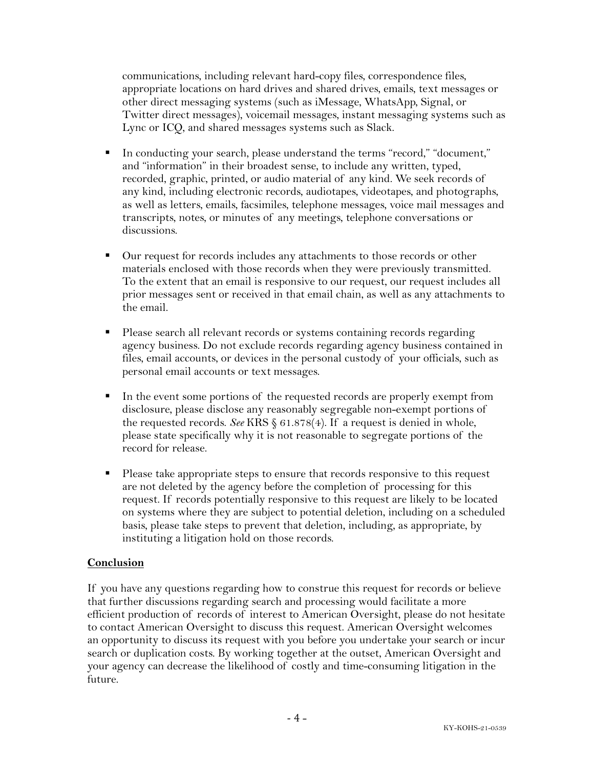communications, including relevant hard-copy files, correspondence files, appropriate locations on hard drives and shared drives, emails, text messages or other direct messaging systems (such as iMessage, WhatsApp, Signal, or Twitter direct messages), voicemail messages, instant messaging systems such as Lync or ICQ, and shared messages systems such as Slack.

- § In conducting your search, please understand the terms "record," "document," and "information" in their broadest sense, to include any written, typed, recorded, graphic, printed, or audio material of any kind. We seek records of any kind, including electronic records, audiotapes, videotapes, and photographs, as well as letters, emails, facsimiles, telephone messages, voice mail messages and transcripts, notes, or minutes of any meetings, telephone conversations or discussions.
- Our request for records includes any attachments to those records or other materials enclosed with those records when they were previously transmitted. To the extent that an email is responsive to our request, our request includes all prior messages sent or received in that email chain, as well as any attachments to the email.
- Please search all relevant records or systems containing records regarding agency business. Do not exclude records regarding agency business contained in files, email accounts, or devices in the personal custody of your officials, such as personal email accounts or text messages.
- In the event some portions of the requested records are properly exempt from disclosure, please disclose any reasonably segregable non-exempt portions of the requested records. *See* KRS § 61.878(4). If a request is denied in whole, please state specifically why it is not reasonable to segregate portions of the record for release.
- Please take appropriate steps to ensure that records responsive to this request are not deleted by the agency before the completion of processing for this request. If records potentially responsive to this request are likely to be located on systems where they are subject to potential deletion, including on a scheduled basis, please take steps to prevent that deletion, including, as appropriate, by instituting a litigation hold on those records.

### **Conclusion**

If you have any questions regarding how to construe this request for records or believe that further discussions regarding search and processing would facilitate a more efficient production of records of interest to American Oversight, please do not hesitate to contact American Oversight to discuss this request. American Oversight welcomes an opportunity to discuss its request with you before you undertake your search or incur search or duplication costs. By working together at the outset, American Oversight and your agency can decrease the likelihood of costly and time-consuming litigation in the future.